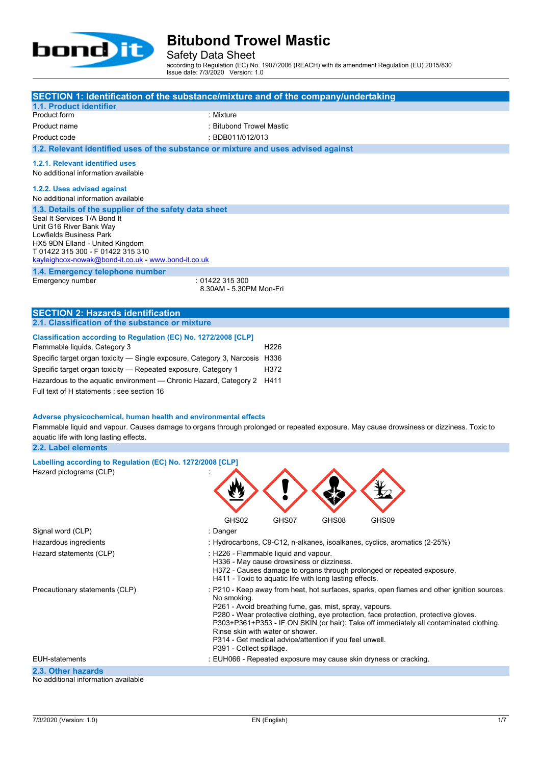

Safety Data Sheet

according to Regulation (EC) No. 1907/2006 (REACH) with its amendment Regulation (EU) 2015/830 Issue date: 7/3/2020 Version: 1.0

| SECTION 1: Identification of the substance/mixture and of the company/undertaking                                                                                                                                                                                                                                                                                                                                                                                                                                                                           |                                                                                                                                                                                                                                                                                                                                                                                                                                                                                    |                                  |       |                                                                           |  |
|-------------------------------------------------------------------------------------------------------------------------------------------------------------------------------------------------------------------------------------------------------------------------------------------------------------------------------------------------------------------------------------------------------------------------------------------------------------------------------------------------------------------------------------------------------------|------------------------------------------------------------------------------------------------------------------------------------------------------------------------------------------------------------------------------------------------------------------------------------------------------------------------------------------------------------------------------------------------------------------------------------------------------------------------------------|----------------------------------|-------|---------------------------------------------------------------------------|--|
| 1.1. Product identifier                                                                                                                                                                                                                                                                                                                                                                                                                                                                                                                                     |                                                                                                                                                                                                                                                                                                                                                                                                                                                                                    |                                  |       |                                                                           |  |
| Product form                                                                                                                                                                                                                                                                                                                                                                                                                                                                                                                                                | : Mixture                                                                                                                                                                                                                                                                                                                                                                                                                                                                          |                                  |       |                                                                           |  |
| Product name                                                                                                                                                                                                                                                                                                                                                                                                                                                                                                                                                | : Bitubond Trowel Mastic                                                                                                                                                                                                                                                                                                                                                                                                                                                           |                                  |       |                                                                           |  |
| Product code                                                                                                                                                                                                                                                                                                                                                                                                                                                                                                                                                | : BDB011/012/013                                                                                                                                                                                                                                                                                                                                                                                                                                                                   |                                  |       |                                                                           |  |
| 1.2. Relevant identified uses of the substance or mixture and uses advised against                                                                                                                                                                                                                                                                                                                                                                                                                                                                          |                                                                                                                                                                                                                                                                                                                                                                                                                                                                                    |                                  |       |                                                                           |  |
| 1.2.1. Relevant identified uses<br>No additional information available                                                                                                                                                                                                                                                                                                                                                                                                                                                                                      |                                                                                                                                                                                                                                                                                                                                                                                                                                                                                    |                                  |       |                                                                           |  |
| 1.2.2. Uses advised against<br>No additional information available                                                                                                                                                                                                                                                                                                                                                                                                                                                                                          |                                                                                                                                                                                                                                                                                                                                                                                                                                                                                    |                                  |       |                                                                           |  |
| 1.3. Details of the supplier of the safety data sheet                                                                                                                                                                                                                                                                                                                                                                                                                                                                                                       |                                                                                                                                                                                                                                                                                                                                                                                                                                                                                    |                                  |       |                                                                           |  |
| Seal It Services T/A Bond It<br>Unit G16 River Bank Way<br>Lowfields Business Park<br>HX5 9DN Elland - United Kingdom<br>T 01422 315 300 - F 01422 315 310<br>kayleighcox-nowak@bond-it.co.uk - www.bond-it.co.uk                                                                                                                                                                                                                                                                                                                                           |                                                                                                                                                                                                                                                                                                                                                                                                                                                                                    |                                  |       |                                                                           |  |
| 1.4. Emergency telephone number                                                                                                                                                                                                                                                                                                                                                                                                                                                                                                                             |                                                                                                                                                                                                                                                                                                                                                                                                                                                                                    |                                  |       |                                                                           |  |
| Emergency number                                                                                                                                                                                                                                                                                                                                                                                                                                                                                                                                            | : 01422 315 300<br>8.30AM - 5.30PM Mon-Fri                                                                                                                                                                                                                                                                                                                                                                                                                                         |                                  |       |                                                                           |  |
| <b>SECTION 2: Hazards identification</b>                                                                                                                                                                                                                                                                                                                                                                                                                                                                                                                    |                                                                                                                                                                                                                                                                                                                                                                                                                                                                                    |                                  |       |                                                                           |  |
| 2.1. Classification of the substance or mixture                                                                                                                                                                                                                                                                                                                                                                                                                                                                                                             |                                                                                                                                                                                                                                                                                                                                                                                                                                                                                    |                                  |       |                                                                           |  |
| Flammable liquids, Category 3<br>Specific target organ toxicity - Single exposure, Category 3, Narcosis H336<br>Specific target organ toxicity - Repeated exposure, Category 1<br>Hazardous to the aquatic environment - Chronic Hazard, Category 2<br>Full text of H statements : see section 16<br>Adverse physicochemical, human health and environmental effects<br>Flammable liquid and vapour. Causes damage to organs through prolonged or repeated exposure. May cause drowsiness or dizziness. Toxic to<br>aquatic life with long lasting effects. |                                                                                                                                                                                                                                                                                                                                                                                                                                                                                    | H <sub>226</sub><br>H372<br>H411 |       |                                                                           |  |
| 2.2. Label elements                                                                                                                                                                                                                                                                                                                                                                                                                                                                                                                                         |                                                                                                                                                                                                                                                                                                                                                                                                                                                                                    |                                  |       |                                                                           |  |
| Labelling according to Regulation (EC) No. 1272/2008 [CLP]<br>Hazard pictograms (CLP)                                                                                                                                                                                                                                                                                                                                                                                                                                                                       | GHS02                                                                                                                                                                                                                                                                                                                                                                                                                                                                              | GHS07                            | GHS08 | GHS09                                                                     |  |
| Signal word (CLP)                                                                                                                                                                                                                                                                                                                                                                                                                                                                                                                                           | : Danger                                                                                                                                                                                                                                                                                                                                                                                                                                                                           |                                  |       |                                                                           |  |
| Hazardous ingredients                                                                                                                                                                                                                                                                                                                                                                                                                                                                                                                                       |                                                                                                                                                                                                                                                                                                                                                                                                                                                                                    |                                  |       | : Hydrocarbons, C9-C12, n-alkanes, isoalkanes, cyclics, aromatics (2-25%) |  |
| Hazard statements (CLP)                                                                                                                                                                                                                                                                                                                                                                                                                                                                                                                                     | : H226 - Flammable liquid and vapour.<br>H336 - May cause drowsiness or dizziness.<br>H372 - Causes damage to organs through prolonged or repeated exposure.<br>H411 - Toxic to aquatic life with long lasting effects.                                                                                                                                                                                                                                                            |                                  |       |                                                                           |  |
| Precautionary statements (CLP)                                                                                                                                                                                                                                                                                                                                                                                                                                                                                                                              | : P210 - Keep away from heat, hot surfaces, sparks, open flames and other ignition sources.<br>No smoking.<br>P261 - Avoid breathing fume, gas, mist, spray, vapours.<br>P280 - Wear protective clothing, eye protection, face protection, protective gloves.<br>P303+P361+P353 - IF ON SKIN (or hair): Take off immediately all contaminated clothing.<br>Rinse skin with water or shower.<br>P314 - Get medical advice/attention if you feel unwell.<br>P391 - Collect spillage. |                                  |       |                                                                           |  |

EUH-statements : EUH066 - Repeated exposure may cause skin dryness or cracking.

**2.3. Other hazards**

No additional information available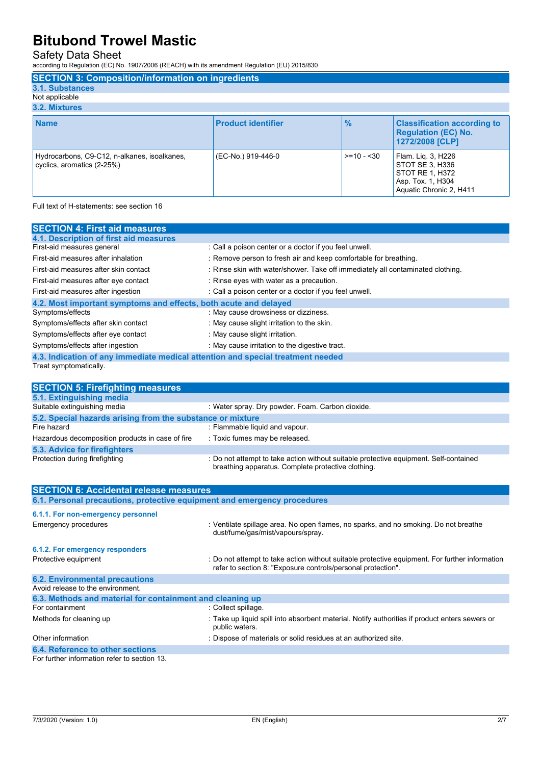Safety Data Sheet

according to Regulation (EC) No. 1907/2006 (REACH) with its amendment Regulation (EU) 2015/830

| <b>SECTION 3: Composition/information on ingredients</b>                   |                           |               |                                                                                                          |
|----------------------------------------------------------------------------|---------------------------|---------------|----------------------------------------------------------------------------------------------------------|
| 3.1. Substances                                                            |                           |               |                                                                                                          |
| Not applicable                                                             |                           |               |                                                                                                          |
| 3.2. Mixtures                                                              |                           |               |                                                                                                          |
| <b>Name</b>                                                                | <b>Product identifier</b> | $\frac{0}{2}$ | <b>Classification according to</b><br><b>Regulation (EC) No.</b><br>1272/2008 [CLP]                      |
| Hydrocarbons, C9-C12, n-alkanes, isoalkanes,<br>cyclics, aromatics (2-25%) | (EC-No.) 919-446-0        | $>= 10 - 30$  | Flam. Lig. 3, H226<br>STOT SE 3, H336<br>STOT RE 1, H372<br>Asp. Tox. 1, H304<br>Aquatic Chronic 2, H411 |

Full text of H-statements: see section 16

| <b>SECTION 4: First aid measures</b>                                            |                                                                                 |
|---------------------------------------------------------------------------------|---------------------------------------------------------------------------------|
| 4.1. Description of first aid measures                                          |                                                                                 |
| First-aid measures general                                                      | : Call a poison center or a doctor if you feel unwell.                          |
| First-aid measures after inhalation                                             | : Remove person to fresh air and keep comfortable for breathing.                |
| First-aid measures after skin contact                                           | : Rinse skin with water/shower. Take off immediately all contaminated clothing. |
| First-aid measures after eye contact                                            | : Rinse eyes with water as a precaution.                                        |
| First-aid measures after ingestion                                              | : Call a poison center or a doctor if you feel unwell.                          |
| 4.2. Most important symptoms and effects, both acute and delayed                |                                                                                 |
| Symptoms/effects                                                                | : May cause drowsiness or dizziness.                                            |
| Symptoms/effects after skin contact                                             | : May cause slight irritation to the skin.                                      |
| Symptoms/effects after eye contact                                              | : May cause slight irritation.                                                  |
| Symptoms/effects after ingestion                                                | : May cause irritation to the digestive tract.                                  |
| 4.3. Indication of any immediate medical attention and special treatment needed |                                                                                 |

Treat symptomatically.

| <b>SECTION 5: Firefighting measures</b>                                  |                                                                                                                                                                |
|--------------------------------------------------------------------------|----------------------------------------------------------------------------------------------------------------------------------------------------------------|
| 5.1. Extinguishing media                                                 |                                                                                                                                                                |
| Suitable extinguishing media                                             | : Water spray. Dry powder. Foam. Carbon dioxide.                                                                                                               |
| 5.2. Special hazards arising from the substance or mixture               |                                                                                                                                                                |
| Fire hazard                                                              | : Flammable liquid and vapour.                                                                                                                                 |
| Hazardous decomposition products in case of fire                         | : Toxic fumes may be released.                                                                                                                                 |
| 5.3. Advice for firefighters                                             |                                                                                                                                                                |
| Protection during firefighting                                           | : Do not attempt to take action without suitable protective equipment. Self-contained<br>breathing apparatus. Complete protective clothing.                    |
| <b>SECTION 6: Accidental release measures</b>                            |                                                                                                                                                                |
|                                                                          |                                                                                                                                                                |
| 6.1. Personal precautions, protective equipment and emergency procedures |                                                                                                                                                                |
|                                                                          |                                                                                                                                                                |
| 6.1.1. For non-emergency personnel<br><b>Emergency procedures</b>        | : Ventilate spillage area. No open flames, no sparks, and no smoking. Do not breathe<br>dust/fume/gas/mist/vapours/spray.                                      |
| 6.1.2. For emergency responders                                          |                                                                                                                                                                |
| Protective equipment                                                     | : Do not attempt to take action without suitable protective equipment. For further information<br>refer to section 8: "Exposure controls/personal protection". |
| <b>6.2. Environmental precautions</b>                                    |                                                                                                                                                                |
| Avoid release to the environment.                                        |                                                                                                                                                                |
| 6.3. Methods and material for containment and cleaning up                |                                                                                                                                                                |

### Other information **contract of the contract of materials** or solid residues at an authorized site.

**6.4. Reference to other sections** For further information refer to section 13.

Methods for cleaning up : Take up liquid spill into absorbent material. Notify authorities if product enters sewers or

public waters.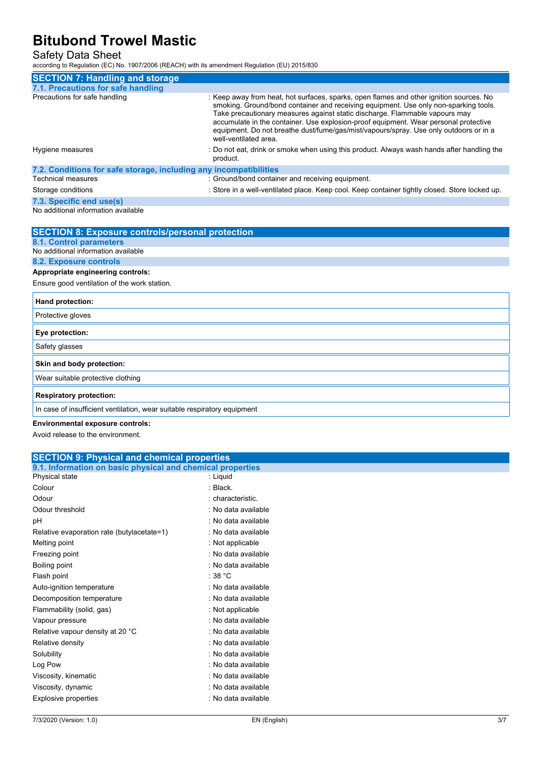#### Safety Data Sheet

according to Regulation (EC) No. 1907/2006 (REACH) with its amendment Regulation (EU) 2015/830

| <b>SECTION 7: Handling and storage</b>                            |                                                                                                                                                                                                                                                                                                                                                                                                                                                                          |
|-------------------------------------------------------------------|--------------------------------------------------------------------------------------------------------------------------------------------------------------------------------------------------------------------------------------------------------------------------------------------------------------------------------------------------------------------------------------------------------------------------------------------------------------------------|
| 7.1. Precautions for safe handling                                |                                                                                                                                                                                                                                                                                                                                                                                                                                                                          |
| Precautions for safe handling                                     | : Keep away from heat, hot surfaces, sparks, open flames and other ignition sources. No<br>smoking. Ground/bond container and receiving equipment. Use only non-sparking tools.<br>Take precautionary measures against static discharge. Flammable vapours may<br>accumulate in the container. Use explosion-proof equipment. Wear personal protective<br>equipment. Do not breathe dust/fume/gas/mist/vapours/spray. Use only outdoors or in a<br>well-ventilated area. |
| Hygiene measures                                                  | : Do not eat, drink or smoke when using this product. Always wash hands after handling the<br>product.                                                                                                                                                                                                                                                                                                                                                                   |
| 7.2. Conditions for safe storage, including any incompatibilities |                                                                                                                                                                                                                                                                                                                                                                                                                                                                          |
| <b>Technical measures</b>                                         | : Ground/bond container and receiving equipment.                                                                                                                                                                                                                                                                                                                                                                                                                         |
| Storage conditions                                                | : Store in a well-ventilated place. Keep cool. Keep container tightly closed. Store locked up.                                                                                                                                                                                                                                                                                                                                                                           |
| 7.3. Specific end use(s)                                          |                                                                                                                                                                                                                                                                                                                                                                                                                                                                          |

No additional information available

| <b>SECTION 8: Exposure controls/personal protection</b>                  |
|--------------------------------------------------------------------------|
| 8.1. Control parameters                                                  |
| No additional information available                                      |
| <b>8.2. Exposure controls</b>                                            |
| Appropriate engineering controls:                                        |
| Ensure good ventilation of the work station.                             |
| Hand protection:                                                         |
| Protective gloves                                                        |
| Eye protection:                                                          |
| Safety glasses                                                           |
| Skin and body protection:                                                |
| Wear suitable protective clothing                                        |
| <b>Respiratory protection:</b>                                           |
| In case of insufficient ventilation, wear suitable respiratory equipment |
| <b>Environmental exposure controls:</b>                                  |

Avoid release to the environment.

| <b>SECTION 9: Physical and chemical properties</b>         |                     |  |
|------------------------------------------------------------|---------------------|--|
| 9.1. Information on basic physical and chemical properties |                     |  |
| Physical state                                             | : Liquid            |  |
| Colour                                                     | : Black.            |  |
| Odour                                                      | : characteristic.   |  |
| Odour threshold                                            | : No data available |  |
| рH                                                         | : No data available |  |
| Relative evaporation rate (butylacetate=1)                 | : No data available |  |
| Melting point                                              | : Not applicable    |  |
| Freezing point                                             | : No data available |  |
| Boiling point                                              | : No data available |  |
| Flash point                                                | : $38 °C$           |  |
| Auto-ignition temperature                                  | : No data available |  |
| Decomposition temperature                                  | : No data available |  |
| Flammability (solid, gas)                                  | : Not applicable    |  |
| Vapour pressure                                            | : No data available |  |
| Relative vapour density at 20 °C                           | : No data available |  |
| Relative density                                           | : No data available |  |
| Solubility                                                 | : No data available |  |
| Log Pow                                                    | : No data available |  |
| Viscosity, kinematic                                       | : No data available |  |
| Viscosity, dynamic                                         | : No data available |  |
| Explosive properties                                       | : No data available |  |
|                                                            |                     |  |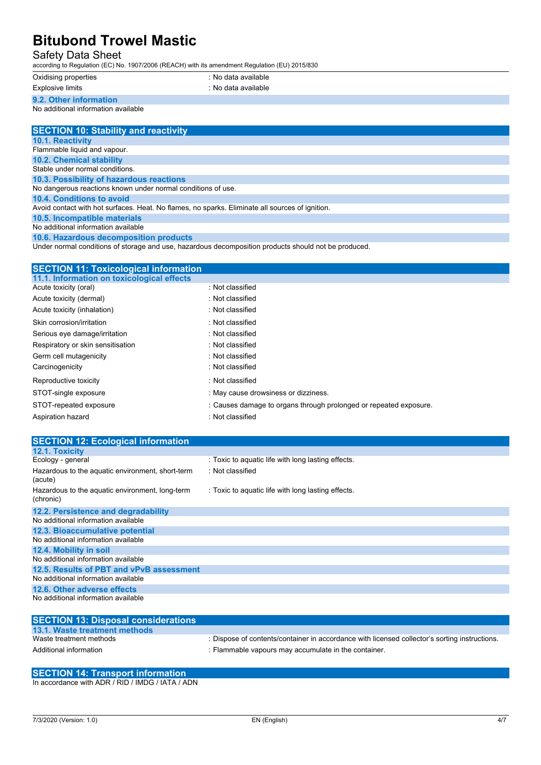#### Safety Data Sheet

according to Regulation (EC) No. 1907/2006 (REACH) with its amendment Regulation (EU) 2015/830

| Oxidising propert |  |
|-------------------|--|
|-------------------|--|

Explosive limits **Explosive limits** in the second section of the second section of the second section of the second section of the second section of the second section of the second section of the second section of the sec

oxidis<br>intes : No data available

**9.2. Other information**

No additional information available

| <b>SECTION 10: Stability and reactivity</b>                                                     |
|-------------------------------------------------------------------------------------------------|
| <b>10.1. Reactivity</b>                                                                         |
| Flammable liquid and vapour.                                                                    |
| <b>10.2. Chemical stability</b>                                                                 |
| Stable under normal conditions.                                                                 |
| 10.3. Possibility of hazardous reactions                                                        |
| No dangerous reactions known under normal conditions of use.                                    |
| 10.4. Conditions to avoid                                                                       |
| Avoid contact with hot surfaces. Heat. No flames, no sparks. Eliminate all sources of ignition. |
| 10.5. Incompatible materials                                                                    |
| No additional information available                                                             |
|                                                                                                 |

**10.6. Hazardous decomposition products**

Under normal conditions of storage and use, hazardous decomposition products should not be produced.

#### **SECTION 11: Toxicological information**

| 11.1. Information on toxicological effects |                                                                   |
|--------------------------------------------|-------------------------------------------------------------------|
| Acute toxicity (oral)                      | : Not classified                                                  |
| Acute toxicity (dermal)                    | : Not classified                                                  |
| Acute toxicity (inhalation)                | : Not classified                                                  |
| Skin corrosion/irritation                  | : Not classified                                                  |
| Serious eye damage/irritation              | : Not classified                                                  |
| Respiratory or skin sensitisation          | : Not classified                                                  |
| Germ cell mutagenicity                     | : Not classified                                                  |
| Carcinogenicity                            | : Not classified                                                  |
| Reproductive toxicity                      | : Not classified                                                  |
| STOT-single exposure                       | : May cause drowsiness or dizziness.                              |
| STOT-repeated exposure                     | : Causes damage to organs through prolonged or repeated exposure. |
| Aspiration hazard                          | : Not classified                                                  |
|                                            |                                                                   |

| <b>SECTION 12: Ecological information</b>                    |                                                    |
|--------------------------------------------------------------|----------------------------------------------------|
| 12.1. Toxicity                                               |                                                    |
| Ecology - general                                            | : Toxic to aquatic life with long lasting effects. |
| Hazardous to the aquatic environment, short-term<br>(acute)  | : Not classified                                   |
| Hazardous to the aquatic environment, long-term<br>(chronic) | : Toxic to aquatic life with long lasting effects. |
| 12.2. Persistence and degradability                          |                                                    |
| No additional information available                          |                                                    |
| 12.3. Bioaccumulative potential                              |                                                    |
| No additional information available                          |                                                    |
| 12.4. Mobility in soil                                       |                                                    |
| No additional information available                          |                                                    |
| 12.5. Results of PBT and vPvB assessment                     |                                                    |
| No additional information available                          |                                                    |
| 12.6. Other adverse effects                                  |                                                    |
| No additional information available                          |                                                    |

| <b>SECTION 13: Disposal considerations</b> |                                                                                               |
|--------------------------------------------|-----------------------------------------------------------------------------------------------|
| 13.1. Waste treatment methods              |                                                                                               |
| Waste treatment methods                    | : Dispose of contents/container in accordance with licensed collector's sorting instructions. |
| Additional information                     | : Flammable vapours may accumulate in the container.                                          |

### **SECTION 14: Transport information**

In accordance with ADR / RID / IMDG / IATA / ADN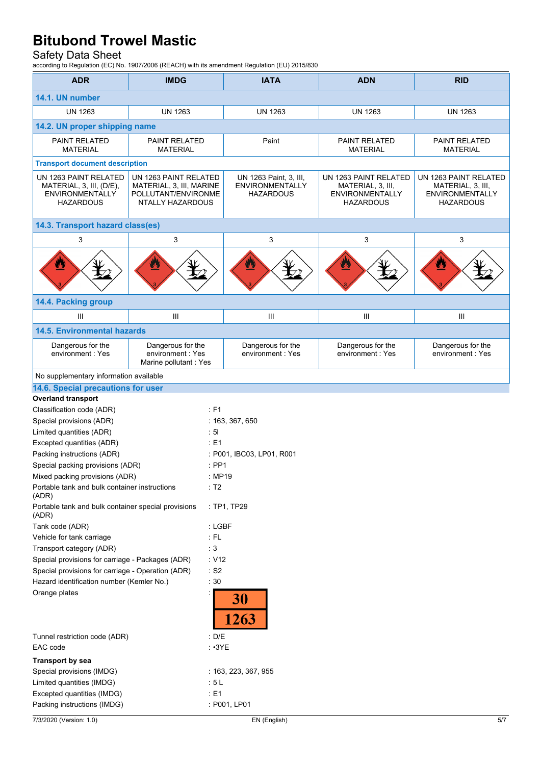#### Safety Data Sheet

according to Regulation (EC) No. 1907/2006 (REACH) with its amendment Regulation (EU) 2015/830

| <b>ADR</b>                                                                                      | <b>IMDG</b>                                                                                  | <b>IATA</b>                                                          | <b>ADN</b>                                                                               | <b>RID</b>                                                                        |  |
|-------------------------------------------------------------------------------------------------|----------------------------------------------------------------------------------------------|----------------------------------------------------------------------|------------------------------------------------------------------------------------------|-----------------------------------------------------------------------------------|--|
| 14.1. UN number                                                                                 |                                                                                              |                                                                      |                                                                                          |                                                                                   |  |
| <b>UN 1263</b>                                                                                  | <b>UN 1263</b>                                                                               | <b>UN 1263</b>                                                       | <b>UN 1263</b>                                                                           | <b>UN 1263</b>                                                                    |  |
| 14.2. UN proper shipping name                                                                   |                                                                                              |                                                                      |                                                                                          |                                                                                   |  |
| PAINT RELATED<br><b>MATERIAL</b>                                                                | PAINT RELATED<br><b>MATERIAL</b>                                                             | Paint                                                                | <b>PAINT RELATED</b><br><b>MATERIAL</b>                                                  | PAINT RELATED<br><b>MATERIAL</b>                                                  |  |
| <b>Transport document description</b>                                                           |                                                                                              |                                                                      |                                                                                          |                                                                                   |  |
| UN 1263 PAINT RELATED<br>MATERIAL, 3, III, (D/E),<br><b>ENVIRONMENTALLY</b><br><b>HAZARDOUS</b> | UN 1263 PAINT RELATED<br>MATERIAL, 3, III, MARINE<br>POLLUTANT/ENVIRONME<br>NTALLY HAZARDOUS | UN 1263 Paint, 3, III,<br><b>ENVIRONMENTALLY</b><br><b>HAZARDOUS</b> | UN 1263 PAINT RELATED<br>MATERIAL, 3, III,<br><b>ENVIRONMENTALLY</b><br><b>HAZARDOUS</b> | UN 1263 PAINT RELATED<br>MATERIAL, 3, III,<br><b>ENVIRONMENTALLY</b><br>HAZARDOUS |  |
| 14.3. Transport hazard class(es)                                                                |                                                                                              |                                                                      |                                                                                          |                                                                                   |  |
| 3                                                                                               | 3                                                                                            | 3                                                                    | 3                                                                                        | 3                                                                                 |  |
| Ø                                                                                               |                                                                                              | ⊻                                                                    |                                                                                          |                                                                                   |  |
| 14.4. Packing group                                                                             |                                                                                              |                                                                      |                                                                                          |                                                                                   |  |
| III                                                                                             | III                                                                                          | III                                                                  | $\mathbf{III}$                                                                           | Ш                                                                                 |  |
| <b>14.5. Environmental hazards</b>                                                              |                                                                                              |                                                                      |                                                                                          |                                                                                   |  |
| Dangerous for the<br>environment: Yes                                                           | Dangerous for the<br>environment: Yes<br>Marine pollutant : Yes                              | Dangerous for the<br>environment: Yes                                | Dangerous for the<br>environment: Yes                                                    | Dangerous for the<br>environment: Yes                                             |  |
| No supplementary information available                                                          |                                                                                              |                                                                      |                                                                                          |                                                                                   |  |
| 14.6. Special precautions for user                                                              |                                                                                              |                                                                      |                                                                                          |                                                                                   |  |
| <b>Overland transport</b>                                                                       |                                                                                              |                                                                      |                                                                                          |                                                                                   |  |
| Classification code (ADR)<br>: F1                                                               |                                                                                              |                                                                      |                                                                                          |                                                                                   |  |
| Special provisions (ADR)                                                                        |                                                                                              | : 163, 367, 650                                                      |                                                                                          |                                                                                   |  |
| : 51<br>Limited quantities (ADR)                                                                |                                                                                              |                                                                      |                                                                                          |                                                                                   |  |
| Excepted quantities (ADR)<br>Packing instructions (ADR)                                         | : E1                                                                                         | : P001, IBC03, LP01, R001                                            |                                                                                          |                                                                                   |  |
| Special packing provisions (ADR)                                                                |                                                                                              | $:$ PP1                                                              |                                                                                          |                                                                                   |  |
| Mixed packing provisions (ADR)                                                                  |                                                                                              | : MP19                                                               |                                                                                          |                                                                                   |  |
| : T2<br>Portable tank and bulk container instructions<br>(ADR)                                  |                                                                                              |                                                                      |                                                                                          |                                                                                   |  |
| Portable tank and bulk container special provisions<br>: TP1, TP29<br>(ADR)                     |                                                                                              |                                                                      |                                                                                          |                                                                                   |  |
| Tank code (ADR)                                                                                 |                                                                                              | : LGBF                                                               |                                                                                          |                                                                                   |  |
| Vehicle for tank carriage<br>$\div$ FL                                                          |                                                                                              |                                                                      |                                                                                          |                                                                                   |  |
| $\therefore$ 3<br>Transport category (ADR)                                                      |                                                                                              |                                                                      |                                                                                          |                                                                                   |  |
| Special provisions for carriage - Packages (ADR)<br>: V12                                       |                                                                                              |                                                                      |                                                                                          |                                                                                   |  |
| Special provisions for carriage - Operation (ADR)<br>$\cdot$ S2                                 |                                                                                              |                                                                      |                                                                                          |                                                                                   |  |
| Hazard identification number (Kemler No.)<br>$\therefore$ 30<br>Orange plates                   |                                                                                              |                                                                      |                                                                                          |                                                                                   |  |
|                                                                                                 |                                                                                              | 30<br>1263                                                           |                                                                                          |                                                                                   |  |
| : D/E<br>Tunnel restriction code (ADR)<br>EAC code<br>$: \cdot 3YE$                             |                                                                                              |                                                                      |                                                                                          |                                                                                   |  |
| <b>Transport by sea</b>                                                                         |                                                                                              |                                                                      |                                                                                          |                                                                                   |  |
| Special provisions (IMDG)                                                                       |                                                                                              | : 163, 223, 367, 955                                                 |                                                                                          |                                                                                   |  |
| Limited quantities (IMDG)                                                                       |                                                                                              | :5L                                                                  |                                                                                          |                                                                                   |  |
| Excepted quantities (IMDG)                                                                      |                                                                                              | $\div$ E1                                                            |                                                                                          |                                                                                   |  |
| Packing instructions (IMDG)                                                                     |                                                                                              | : P001, LP01                                                         |                                                                                          |                                                                                   |  |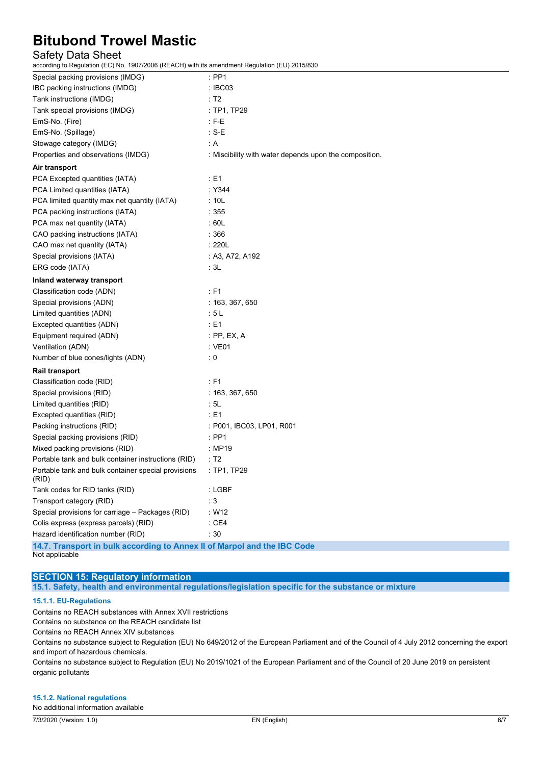#### Safety Data Sheet

according to Regulation (EC) No. 1907/2006 (REACH) with its amendment Regulation (EU) 2015/830

| $\mathbf{v}$ $\mathbf{v}$                                                |                                                        |  |  |  |
|--------------------------------------------------------------------------|--------------------------------------------------------|--|--|--|
| Special packing provisions (IMDG)                                        | $:$ PP1                                                |  |  |  |
| IBC packing instructions (IMDG)                                          | : IBC03                                                |  |  |  |
| Tank instructions (IMDG)                                                 | : T2                                                   |  |  |  |
| Tank special provisions (IMDG)                                           | : TP1, TP29                                            |  |  |  |
| EmS-No. (Fire)                                                           | $: F-E$                                                |  |  |  |
| EmS-No. (Spillage)                                                       | : $S-E$                                                |  |  |  |
| Stowage category (IMDG)                                                  | : A                                                    |  |  |  |
| Properties and observations (IMDG)                                       | : Miscibility with water depends upon the composition. |  |  |  |
| Air transport                                                            |                                                        |  |  |  |
| PCA Excepted quantities (IATA)                                           | $\div$ E1                                              |  |  |  |
| PCA Limited quantities (IATA)                                            | : Y344                                                 |  |  |  |
| PCA limited quantity max net quantity (IATA)                             | :10L                                                   |  |  |  |
| PCA packing instructions (IATA)                                          | :355                                                   |  |  |  |
| PCA max net quantity (IATA)                                              | :60L                                                   |  |  |  |
| CAO packing instructions (IATA)                                          | :366                                                   |  |  |  |
| CAO max net quantity (IATA)                                              | :220L                                                  |  |  |  |
| Special provisions (IATA)                                                | : A3, A72, A192                                        |  |  |  |
| ERG code (IATA)                                                          | : 3L                                                   |  |  |  |
| Inland waterway transport                                                |                                                        |  |  |  |
| Classification code (ADN)                                                | $E = 51$                                               |  |  |  |
| Special provisions (ADN)                                                 | : 163, 367, 650                                        |  |  |  |
| Limited quantities (ADN)                                                 | :5L                                                    |  |  |  |
| Excepted quantities (ADN)                                                | : E1                                                   |  |  |  |
| Equipment required (ADN)                                                 | $:$ PP, EX, A                                          |  |  |  |
| Ventilation (ADN)                                                        | : VE01                                                 |  |  |  |
| Number of blue cones/lights (ADN)                                        | $\mathbf{.0}$                                          |  |  |  |
| <b>Rail transport</b>                                                    |                                                        |  |  |  |
| Classification code (RID)                                                | $E = 51$                                               |  |  |  |
| Special provisions (RID)                                                 | : 163, 367, 650                                        |  |  |  |
| Limited quantities (RID)                                                 | : 5L                                                   |  |  |  |
| Excepted quantities (RID)                                                | $\div$ E1                                              |  |  |  |
| Packing instructions (RID)                                               | : P001, IBC03, LP01, R001                              |  |  |  |
| Special packing provisions (RID)                                         | $\therefore$ PP1                                       |  |  |  |
| Mixed packing provisions (RID)                                           | : MP19                                                 |  |  |  |
| Portable tank and bulk container instructions (RID)                      | : T2                                                   |  |  |  |
| Portable tank and bulk container special provisions<br>(RID)             | : TP1, TP29                                            |  |  |  |
| Tank codes for RID tanks (RID)                                           | : LGBF                                                 |  |  |  |
| Transport category (RID)                                                 | $\therefore$ 3                                         |  |  |  |
| Special provisions for carriage - Packages (RID)                         | : W12                                                  |  |  |  |
| Colis express (express parcels) (RID)                                    | $\therefore$ CE4                                       |  |  |  |
| Hazard identification number (RID)                                       | :30                                                    |  |  |  |
| 14.7. Transport in bulk according to Annex II of Marpol and the IBC Code |                                                        |  |  |  |

Not applicable

### **SECTION 15: Regulatory information**

**15.1. Safety, health and environmental regulations/legislation specific for the substance or mixture**

#### **15.1.1. EU-Regulations**

Contains no REACH substances with Annex XVII restrictions Contains no substance on the REACH candidate list Contains no REACH Annex XIV substances Contains no substance subject to Regulation (EU) No 649/2012 of the European Parliament and of the Council of 4 July 2012 concerning the export

and import of hazardous chemicals.

Contains no substance subject to Regulation (EU) No 2019/1021 of the European Parliament and of the Council of 20 June 2019 on persistent organic pollutants

#### **15.1.2. National regulations**

No additional information available